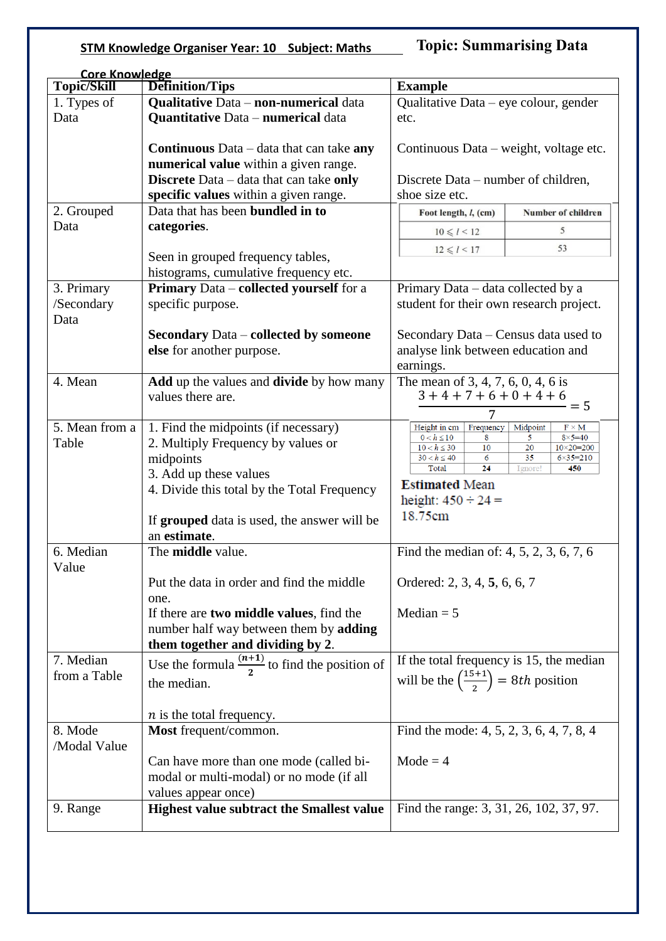## **STM Knowledge Organiser Year: 10 Subject: Maths**

**Topic: Summarising Data** 

| <b>Core Knowledge</b> |                                                           |                                                          |                                                   |  |
|-----------------------|-----------------------------------------------------------|----------------------------------------------------------|---------------------------------------------------|--|
| Topic/Skill           | Definition/Tips                                           | <b>Example</b>                                           |                                                   |  |
| 1. Types of           | Qualitative Data - non-numerical data                     | Qualitative Data – eye colour, gender                    |                                                   |  |
| Data                  | <b>Quantitative Data - numerical data</b>                 | etc.                                                     |                                                   |  |
|                       |                                                           |                                                          |                                                   |  |
|                       | <b>Continuous</b> Data $-$ data that can take <b>any</b>  | Continuous Data – weight, voltage etc.                   |                                                   |  |
|                       |                                                           |                                                          |                                                   |  |
|                       | numerical value within a given range.                     |                                                          |                                                   |  |
|                       | Discrete Data - data that can take only                   | Discrete Data – number of children,                      |                                                   |  |
|                       | specific values within a given range.                     | shoe size etc.                                           |                                                   |  |
| 2. Grouped            | Data that has been <b>bundled</b> in to                   | Foot length, <i>l</i> , (cm)                             | Number of children                                |  |
| Data                  | categories.                                               | $10 \le l < 12$                                          | 5                                                 |  |
|                       |                                                           | $12 \le l < 17$                                          | 53                                                |  |
|                       | Seen in grouped frequency tables,                         |                                                          |                                                   |  |
|                       | histograms, cumulative frequency etc.                     |                                                          |                                                   |  |
| 3. Primary            | <b>Primary Data – collected yourself</b> for a            | Primary Data - data collected by a                       |                                                   |  |
| /Secondary            | specific purpose.                                         | student for their own research project.                  |                                                   |  |
| Data                  |                                                           |                                                          |                                                   |  |
|                       | <b>Secondary Data – collected by someone</b>              | Secondary Data – Census data used to                     |                                                   |  |
|                       |                                                           |                                                          |                                                   |  |
|                       | else for another purpose.                                 | analyse link between education and                       |                                                   |  |
|                       |                                                           | earnings.                                                |                                                   |  |
| 4. Mean               | <b>Add</b> up the values and <b>divide</b> by how many    | The mean of 3, 4, 7, 6, 0, 4, 6 is                       |                                                   |  |
|                       | values there are.                                         | $3+4+7+6+0+4+6$                                          | $= 5$                                             |  |
|                       |                                                           |                                                          |                                                   |  |
| 5. Mean from a        | 1. Find the midpoints (if necessary)                      | Height in cm<br>Frequency<br>Midpoint<br>$F \times M$    |                                                   |  |
| Table                 | 2. Multiply Frequency by values or                        | $0 < h \le 10$<br>8<br>$10 < h \leq 30$<br>10            | 5<br>$8 \times 5 = 40$<br>20<br>$10\times 20=200$ |  |
|                       | midpoints                                                 | $30 < h \le 40$<br>6                                     | 35<br>$6 \times 35 = 210$                         |  |
|                       | 3. Add up these values                                    | 24<br>Total                                              | Ignore!<br>450                                    |  |
|                       | 4. Divide this total by the Total Frequency               | <b>Estimated Mean</b>                                    |                                                   |  |
|                       |                                                           | height: $450 \div 24 =$                                  |                                                   |  |
|                       | If grouped data is used, the answer will be               | 18.75cm                                                  |                                                   |  |
|                       | an estimate.                                              |                                                          |                                                   |  |
|                       |                                                           |                                                          |                                                   |  |
| 6. Median             | The middle value.                                         | Find the median of: 4, 5, 2, 3, 6, 7, 6                  |                                                   |  |
| Value                 |                                                           |                                                          |                                                   |  |
|                       | Put the data in order and find the middle                 | Ordered: 2, 3, 4, 5, 6, 6, 7                             |                                                   |  |
|                       | one.                                                      |                                                          |                                                   |  |
|                       | If there are two middle values, find the                  | Median $= 5$                                             |                                                   |  |
|                       | number half way between them by adding                    |                                                          |                                                   |  |
|                       | them together and dividing by 2.                          |                                                          |                                                   |  |
| 7. Median             | Use the formula $\frac{(n+1)}{2}$ to find the position of | If the total frequency is 15, the median                 |                                                   |  |
| from a Table          |                                                           |                                                          |                                                   |  |
|                       | the median.                                               | will be the $\left(\frac{15+1}{2}\right) = 8th$ position |                                                   |  |
|                       |                                                           |                                                          |                                                   |  |
|                       | $n$ is the total frequency.                               |                                                          |                                                   |  |
| 8. Mode               | Most frequent/common.                                     | Find the mode: 4, 5, 2, 3, 6, 4, 7, 8, 4                 |                                                   |  |
| /Modal Value          |                                                           |                                                          |                                                   |  |
|                       | Can have more than one mode (called bi-                   | $Mode = 4$                                               |                                                   |  |
|                       | modal or multi-modal) or no mode (if all                  |                                                          |                                                   |  |
|                       | values appear once)                                       |                                                          |                                                   |  |
|                       |                                                           |                                                          |                                                   |  |
| 9. Range              | <b>Highest value subtract the Smallest value</b>          | Find the range: 3, 31, 26, 102, 37, 97.                  |                                                   |  |
|                       |                                                           |                                                          |                                                   |  |